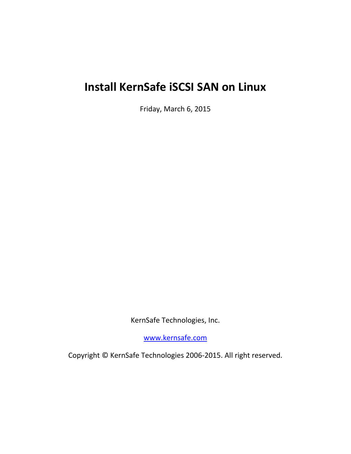# **Install KernSafe iSCSI SAN on Linux**

Friday, March 6, 2015

KernSafe Technologies, Inc.

[www.kernsafe.com](http://www.kernsafe.com/)

Copyright © KernSafe Technologies 2006-2015. All right reserved.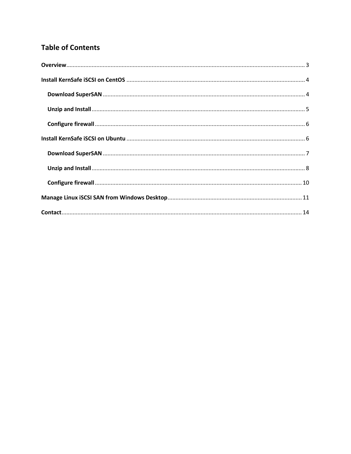#### **Table of Contents**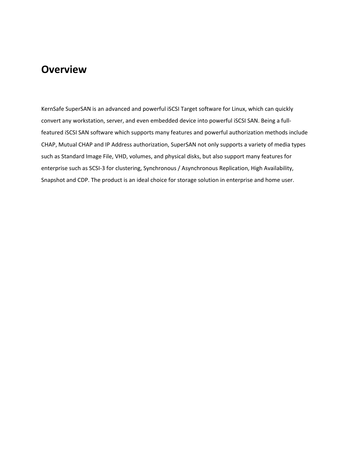#### <span id="page-2-0"></span>**Overview**

KernSafe SuperSAN is an advanced and powerful iSCSI Target software for Linux, which can quickly convert any workstation, server, and even embedded device into powerful iSCSI SAN. Being a fullfeatured iSCSI SAN software which supports many features and powerful authorization methods include CHAP, Mutual CHAP and IP Address authorization, SuperSAN not only supports a variety of media types such as Standard Image File, VHD, volumes, and physical disks, but also support many features for enterprise such as SCSI-3 for clustering, Synchronous / Asynchronous Replication, High Availability, Snapshot and CDP. The product is an ideal choice for storage solution in enterprise and home user.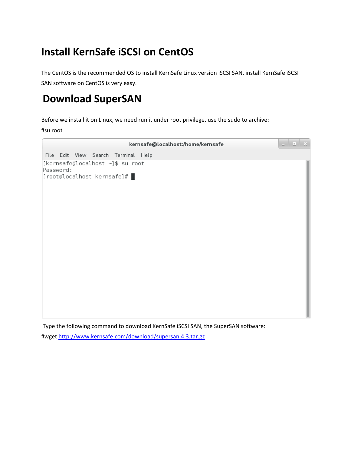#### <span id="page-3-0"></span>**Install KernSafe iSCSI on CentOS**

The CentOS is the recommended OS to install KernSafe Linux version iSCSI SAN, install KernSafe iSCSI SAN software on CentOS is very easy.

#### <span id="page-3-1"></span>**Download SuperSAN**

Before we install it on Linux, we need run it under root privilege, use the sudo to archive:

#su root



Type the following command to download KernSafe iSCSI SAN, the SuperSAN software: #wget<http://www.kernsafe.com/download/supersan.4.3.tar.gz>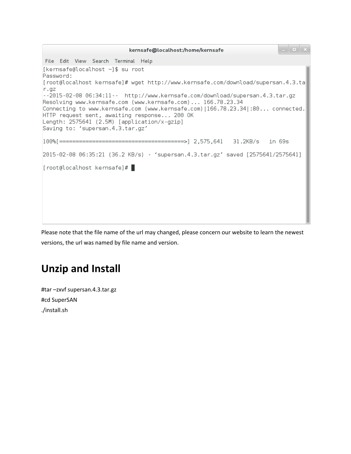| <b>COL</b><br>kernsafe@localhost:/home/kernsafe                                                                                                                                                                                                                               |
|-------------------------------------------------------------------------------------------------------------------------------------------------------------------------------------------------------------------------------------------------------------------------------|
| File Edit View Search Terminal Help                                                                                                                                                                                                                                           |
| [kernsafe@localhost ~]\$ su root<br>Password:                                                                                                                                                                                                                                 |
| [root@localhost kernsafe]# wget http://www.kernsafe.com/download/supersan.4.3.ta<br>r.9Z                                                                                                                                                                                      |
| --2015-02-08 06:34:11-- http://www.kernsafe.com/download/supersan.4.3.tar.gz                                                                                                                                                                                                  |
| Resolving www.kernsafe.com (www.kernsafe.com) 166.78.23.34<br>Connecting to www.kernsafe.com (www.kernsafe.com) 166.78.23.34 :80 connected.<br>HTTP request sent, awaiting response 200 OK<br>Length: 2575641 (2.5M) [application/x-gzip]<br>Saving to: 'supersan.4.3.tar.gz' |
|                                                                                                                                                                                                                                                                               |
| 2015-02-08 06:35:21 (36.2 KB/s) - 'supersan.4.3.tar.gz' saved [2575641/2575641]                                                                                                                                                                                               |
| $[root@localhost kernsafe]$ $\#$                                                                                                                                                                                                                                              |
|                                                                                                                                                                                                                                                                               |
|                                                                                                                                                                                                                                                                               |
|                                                                                                                                                                                                                                                                               |
|                                                                                                                                                                                                                                                                               |

Please note that the file name of the url may changed, please concern our website to learn the newest versions, the url was named by file name and version.

#### <span id="page-4-0"></span>**Unzip and Install**

#tar –zxvf supersan.4.3.tar.gz #cd SuperSAN ./install.sh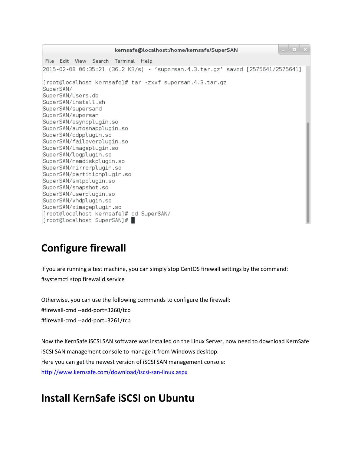. . . x kernsafe@localhost:/home/kernsafe/SuperSAN File Edit View Search Terminal Help 2015-02-08 06:35:21 (36.2 KB/s) - 'supersan.4.3.tar.gz' saved [2575641/2575641] [root@localhost kernsafe]# tar -zxvf supersan.4.3.tar.gz SuperSAN/ SuperSAN/Users.db SuperSAN/install.sh SuperSAN/supersand SuperSAN/supersan SuperSAN/asyncplugin.so SuperSAN/autosnapplugin.so SuperSAN/cdpplugin.so SuperSAN/failoverplugin.so SuperSAN/imageplugin.so SuperSAN/logplugin.so SuperSAN/memdiskplugin.so SuperSAN/mirrorplugin.so SuperSAN/partitionplugin.so SuperSAN/smtpplugin.so SuperSAN/snapshot.so SuperSAN/userplugin.so SuperSAN/vhdplugin.so SuperSAN/ximageplugin.so [root@localhost kernsafe]# cd SuperSAN/ [root@localhost SuperSAN]# |

## <span id="page-5-0"></span>**Configure firewall**

If you are running a test machine, you can simply stop CentOS firewall settings by the command: #systemctl stop firewalld.service

Otherwise, you can use the following commands to configure the firewall: #firewall-cmd --add-port=3260/tcp #firewall-cmd --add-port=3261/tcp

Now the KernSafe iSCSI SAN software was installed on the Linux Server, now need to download KernSafe iSCSI SAN management console to manage it from Windows desktop. Here you can get the newest version of iSCSI SAN management console: <http://www.kernsafe.com/download/iscsi-san-linux.aspx>

#### <span id="page-5-1"></span>**Install KernSafe iSCSI on Ubuntu**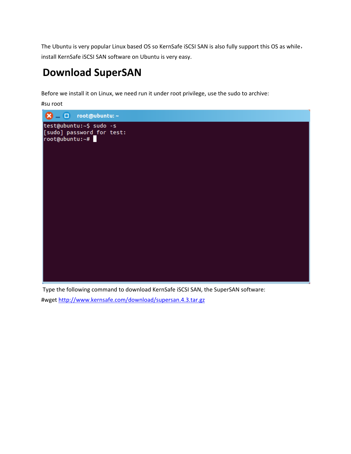The Ubuntu is very popular Linux based OS so KernSafe iSCSI SAN is also fully support this OS as while, install KernSafe iSCSI SAN software on Ubuntu is very easy.

#### <span id="page-6-0"></span>**Download SuperSAN**

Before we install it on Linux, we need run it under root privilege, use the sudo to archive:

#su root



Type the following command to download KernSafe iSCSI SAN, the SuperSAN software:

#wget<http://www.kernsafe.com/download/supersan.4.3.tar.gz>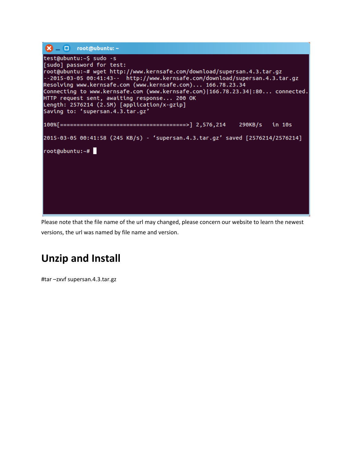

Please note that the file name of the url may changed, please concern our website to learn the newest versions, the url was named by file name and version.

#### <span id="page-7-0"></span>**Unzip and Install**

#tar –zxvf supersan.4.3.tar.gz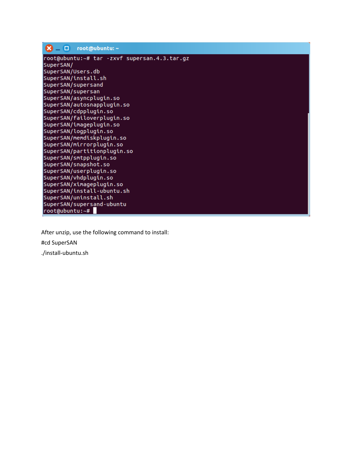| 8 – O | root@ubuntu: ~ |
|-------|----------------|
|       |                |

root@ubuntu:~# tar -zxvf supersan.4.3.tar.gz SuperSAN/ SuperSAN/Users.db SuperSAN/install.sh SuperSAN/supersand SuperSAN/supersan SuperSAN/asyncplugin.so SuperSAN/autosnapplugin.so SuperSAN/cdpplugin.so SuperSAN/failoverplugin.so SuperSAN/imageplugin.so SuperSAN/logplugin.so SuperSAN/memdiskplugin.so SuperSAN/mirrorplugin.so SuperSAN/partitionplugin.so SuperSAN/smtpplugin.so SuperSAN/snapshot.so SuperSAN/userplugin.so SuperSAN/vhdplugin.so SuperSAN/ximageplugin.so SuperSAN/install-ubuntu.sh SuperSAN/uninstall.sh SuperSAN/supersand-ubuntu root@ubuntu:~#

After unzip, use the following command to install:

#cd SuperSAN

./install-ubuntu.sh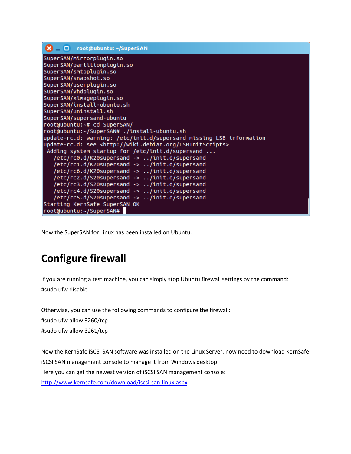```
root@ubuntu: ~/SuperSAN
\mathbf{R} – \mathbf{\Omega}SuperSAN/mirrorplugin.so
SuperSAN/partitionplugin.so
SuperSAN/smtpplugin.so
SuperSAN/snapshot.so
SuperSAN/userplugin.so
SuperSAN/vhdplugin.so
SuperSAN/ximageplugin.so
SuperSAN/install-ubuntu.sh
SuperSAN/uninstall.sh
SuperSAN/supersand-ubuntu
root@ubuntu:~# cd SuperSAN/
root@ubuntu:~/SuperSAN# ./install-ubuntu.sh
update-rc.d: warning: /etc/init.d/supersand missing LSB information
update-rc.d: see <http://wiki.debian.org/LSBInitScripts>
Adding system startup for /etc/init.d/supersand ...<br>/etc/rc0.d/K20supersand -> ../init.d/supersand
   /etc/rc1.d/K20supersand -> ../init.d/supersand
   /etc/rc6.d/K20supersand -> ../init.d/supersand
   /etc/rc2.d/S20supersand -> ../init.d/supersand
   /etc/rc3.d/S20supersand -> ../init.d/supersand
   /etc/rc4.d/S20supersand -> ../init.d/supersand
   /etc/rc5.d/S20supersand -> ../init.d/supersand
Starting KernSafe SuperSAN OK
root@ubuntu:~/SuperSAN#
```
Now the SuperSAN for Linux has been installed on Ubuntu.

## <span id="page-9-0"></span>**Configure firewall**

If you are running a test machine, you can simply stop Ubuntu firewall settings by the command: #sudo ufw disable

Otherwise, you can use the following commands to configure the firewall: #sudo ufw allow 3260/tcp #sudo ufw allow 3261/tcp

Now the KernSafe iSCSI SAN software was installed on the Linux Server, now need to download KernSafe iSCSI SAN management console to manage it from Windows desktop. Here you can get the newest version of iSCSI SAN management console: <http://www.kernsafe.com/download/iscsi-san-linux.aspx>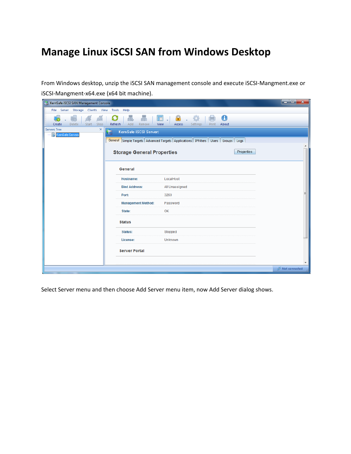#### <span id="page-10-0"></span>**Manage Linux iSCSI SAN from Windows Desktop**

From Windows desktop, unzip the iSCSI SAN management console and execute iSCSI-Mangment.exe or iSCSI-Mangment-x64.exe (x64 bit machine).

| KernSafe iSCSI SAN Management Console                                 |                                    |                                                                                              | أكراص<br>$\mathbf{x}$ |
|-----------------------------------------------------------------------|------------------------------------|----------------------------------------------------------------------------------------------|-----------------------|
| File Server Storage Clients View Tools                                | Help                               |                                                                                              |                       |
| Delete<br>Start<br>Stop<br>Create                                     | 品<br>品<br>Add<br>Refresh<br>Remove | A<br>A<br>F<br>View<br>Access<br>Settings<br>Print<br>About                                  |                       |
| <b>Servers Tree</b><br>$\boldsymbol{\times}$<br>-- B KernSafe Servers | KernSafe iSCSI Server:             |                                                                                              |                       |
|                                                                       |                                    | General Simple Targets   Advanced Targets   Applications   IPFilters   Users   Groups   Logs |                       |
|                                                                       | <b>Storage General Properties</b>  | Properties                                                                                   |                       |
|                                                                       | General                            |                                                                                              |                       |
|                                                                       | <b>Hostname:</b>                   | LocalHost                                                                                    |                       |
|                                                                       | <b>Bind Address:</b>               | All Unassigned                                                                               |                       |
|                                                                       | Port:                              | 3260                                                                                         |                       |
|                                                                       | <b>Management Method:</b>          | Password                                                                                     |                       |
|                                                                       | State:                             | OK                                                                                           |                       |
|                                                                       | <b>Status</b>                      |                                                                                              |                       |
|                                                                       | <b>Status:</b>                     | Stopped                                                                                      |                       |
|                                                                       | License:                           | Unknown                                                                                      |                       |
|                                                                       | <b>Server Portal</b>               |                                                                                              |                       |
|                                                                       |                                    |                                                                                              |                       |
|                                                                       |                                    |                                                                                              | Not connected         |

Select Server menu and then choose Add Server menu item, now Add Server dialog shows.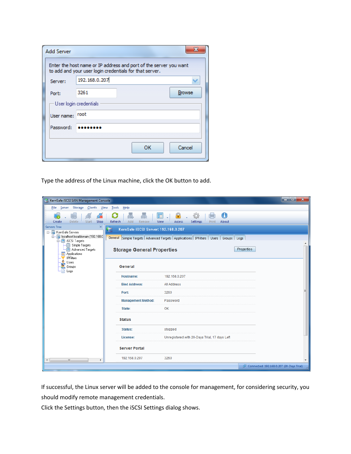| Enter the host name or IP address and port of the server you want<br>to add and your user login credentials for that server. |
|------------------------------------------------------------------------------------------------------------------------------|
| 192.168.0.207                                                                                                                |
| <b>Browse</b><br>3261                                                                                                        |
| User login credentials                                                                                                       |
| <b>root</b>                                                                                                                  |
|                                                                                                                              |
|                                                                                                                              |
| Cancel<br>ок                                                                                                                 |
|                                                                                                                              |

Type the address of the Linux machine, click the OK button to add.

| KernSafe iSCSI SAN Management Console                                                            |                                           |                                                                                          | واد<br>$\mathbf{x}$                      |
|--------------------------------------------------------------------------------------------------|-------------------------------------------|------------------------------------------------------------------------------------------|------------------------------------------|
| File Server Storage Clients View                                                                 | Tools<br>Help                             |                                                                                          |                                          |
| Ğ<br>Start<br>Stop<br><b>Delete</b><br>Create                                                    | 朂<br>盖<br>Add<br>Refresh<br>Remove        | $\bigcirc$<br>A<br>10<br>而<br>Settings<br>View<br>Access<br>Print<br>About               |                                          |
| <b>Servers Tree</b><br>×<br>E- KernSafe Servers<br>O- S localhost.localdomain (192.168.0         | KernSafe iSCSI Server: 192.168.0.207<br>E | General Simple Targets Advanced Targets Applications   IPFilters   Users   Groups   Logs |                                          |
| <b>E</b> iSCSI Targets<br>Simple Targets<br>Advanced Targets<br>Applications<br><b>IPFilters</b> | <b>Storage General Properties</b>         |                                                                                          | <b>Properties</b>                        |
| å<br>Users<br>Groups<br>Ð<br>Logs                                                                | General                                   |                                                                                          |                                          |
|                                                                                                  | <b>Hostname:</b>                          | 192.168.0.207                                                                            |                                          |
|                                                                                                  | <b>Bind Address:</b>                      | All Address                                                                              |                                          |
|                                                                                                  | Port:                                     | 3260                                                                                     |                                          |
|                                                                                                  | <b>Management Method:</b>                 | Password                                                                                 |                                          |
|                                                                                                  | State:                                    | OK                                                                                       |                                          |
|                                                                                                  | <b>Status</b>                             |                                                                                          |                                          |
|                                                                                                  | Status:                                   | stopped                                                                                  |                                          |
|                                                                                                  | License:                                  | Unregistered with 20-Days Trial, 17 days Left                                            |                                          |
|                                                                                                  | <b>Server Portal</b>                      |                                                                                          |                                          |
| m.<br>$\blacktriangleleft$<br>٠                                                                  | 192.168.0.207                             | 3260                                                                                     |                                          |
|                                                                                                  |                                           |                                                                                          | Connected: 192.168.0.207 (20-Days Trial) |

If successful, the Linux server will be added to the console for management, for considering security, you should modify remote management credentials.

Click the Settings button, then the iSCSI Settings dialog shows.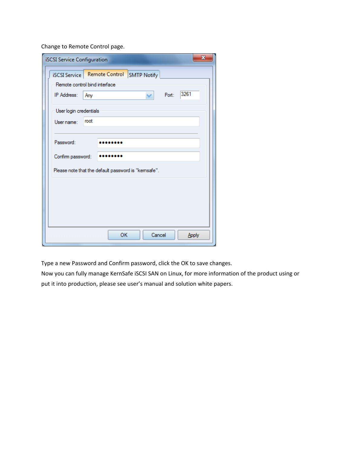Change to Remote Control page.

| $\mathbf{x}$<br><b>iSCSI Service Configuration</b>                                                                 |
|--------------------------------------------------------------------------------------------------------------------|
| iSCSI Service   Remote Control SMTP Notify<br>Remote control bind interface<br>3261<br>Port:<br>IP Address:<br>Any |
| User login credentials<br>root<br>User name:                                                                       |
| Password:<br>Confirm password:                                                                                     |
| Please note that the default password is "kemsafe".                                                                |
|                                                                                                                    |
|                                                                                                                    |
| Cancel<br>OK<br>Apply                                                                                              |

Type a new Password and Confirm password, click the OK to save changes.

Now you can fully manage KernSafe iSCSI SAN on Linux, for more information of the product using or put it into production, please see user's manual and solution white papers.